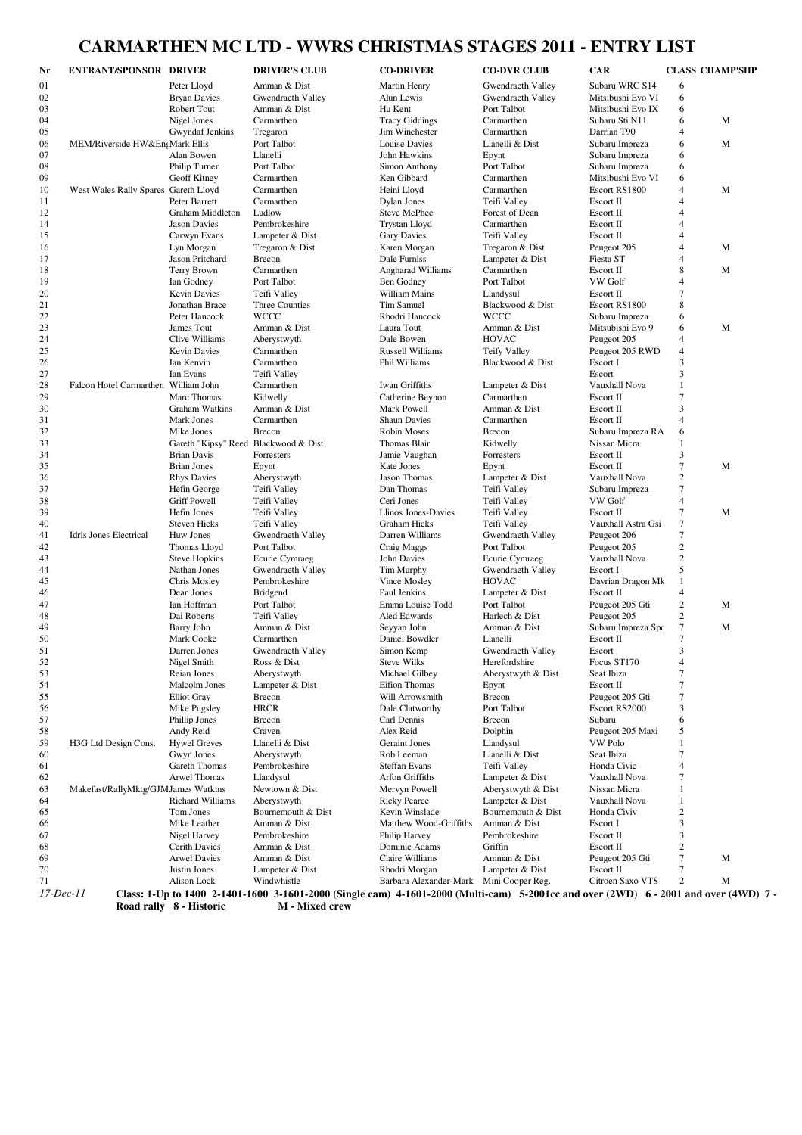## **CARMARTHEN MC LTD - WWRS CHRISTMAS STAGES 2011 - ENTRY LIST**

| 01<br>Subaru WRC S14<br>Peter Lloyd<br>Amman & Dist<br>Martin Henry<br>Gwendraeth Valley<br>6<br>02<br><b>Bryan Davies</b><br><b>Gwendraeth Valley</b><br>Alun Lewis<br>Gwendraeth Valley<br>Mitsibushi Evo VI<br>6<br>Robert Tout<br>6<br>03<br>Amman & Dist<br>Hu Kent<br>Port Talbot<br>Mitsibushi Evo IX<br>M<br>04<br>Nigel Jones<br>Carmarthen<br><b>Tracy Giddings</b><br>Carmarthen<br>Subaru Sti N11<br>6<br>05<br>Gwyndaf Jenkins<br>Tregaron<br>Jim Winchester<br>Carmarthen<br>Darrian T90<br>$\overline{4}$<br>MEM/Riverside HW&En Mark Ellis<br>Port Talbot<br>Louise Davies<br>Llanelli & Dist<br>Subaru Impreza<br>6<br>M<br>06<br>07<br>Alan Bowen<br>Llanelli<br>John Hawkins<br>Subaru Impreza<br>Epynt<br>6<br>Port Talbot<br>08<br>Philip Turner<br>Port Talbot<br>Subaru Impreza<br>6<br>Simon Anthony<br>09<br>Geoff Kitney<br>Carmarthen<br>Ken Gibbard<br>Carmarthen<br>Mitsibushi Evo VI<br>6<br>M<br>10<br>West Wales Rally Spares Gareth Lloyd<br>Carmarthen<br>Heini Lloyd<br>Carmarthen<br>Escort RS1800<br>$\overline{4}$<br>11<br>Peter Barrett<br>Carmarthen<br><b>Dylan Jones</b><br>Teifi Valley<br>Escort II<br>$\overline{4}$<br>12<br>Graham Middleton<br>Ludlow<br>Steve McPhee<br>Forest of Dean<br>Escort II<br>$\overline{4}$<br><b>Jason Davies</b><br>Pembrokeshire<br><b>Trystan Lloyd</b><br>Carmarthen<br>Escort II<br>$\overline{4}$<br>14<br>15<br>Carwyn Evans<br>Lampeter & Dist<br><b>Gary Davies</b><br>Teifi Valley<br>Escort II<br>$\overline{4}$<br>Lyn Morgan<br>Tregaron & Dist<br>Karen Morgan<br>Tregaron & Dist<br>Peugeot 205<br>$\overline{4}$<br>M<br>16<br>Fiesta ST<br>17<br>Jason Pritchard<br>Brecon<br>Dale Furniss<br>Lampeter & Dist<br>$\overline{A}$<br>8<br>M<br>18<br>Terry Brown<br>Carmarthen<br><b>Angharad Williams</b><br>Carmarthen<br>Escort II<br>VW Golf<br>19<br>Ian Godney<br>Port Talbot<br>Ben Godney<br>Port Talbot<br>$\overline{4}$<br>$\overline{7}$<br>20<br><b>Kevin Davies</b><br>Teifi Valley<br>William Mains<br>Llandysul<br>Escort II<br>8<br>21<br>Jonathan Brace<br>Three Counties<br>Tim Samuel<br>Blackwood & Dist<br>Escort RS1800<br>22<br><b>WCCC</b><br>Rhodri Hancock<br><b>WCCC</b><br>Peter Hancock<br>Subaru Impreza<br>6<br>23<br>M<br>James Tout<br>Amman & Dist<br>Laura Tout<br>Amman & Dist<br>Mitsubishi Evo 9<br>6<br>24<br>Clive Williams<br>Dale Bowen<br><b>HOVAC</b><br>Aberystwyth<br>Peugeot 205<br>4<br>25<br><b>Russell Williams</b><br><b>Kevin Davies</b><br>Carmarthen<br><b>Teify Valley</b><br>Peugeot 205 RWD<br>$\overline{4}$<br>Phil Williams<br>3<br>26<br>Ian Kenvin<br>Carmarthen<br>Blackwood & Dist<br>Escort I<br>3<br>27<br>Ian Evans<br>Teifi Valley<br>Escort<br>28<br>Falcon Hotel Carmarthen William John<br>Carmarthen<br><b>Iwan Griffiths</b><br>Lampeter & Dist<br>Vauxhall Nova<br>1<br>29<br>$\overline{7}$<br>Marc Thomas<br>Kidwelly<br>Catherine Beynon<br>Carmarthen<br>Escort II<br>Escort II<br>3<br>30<br>Graham Watkins<br>Amman & Dist<br>Mark Powell<br>Amman & Dist<br>31<br>Carmarthen<br>Escort II<br>$\overline{4}$<br>Mark Jones<br>Carmarthen<br><b>Shaun Davies</b><br>32<br>Mike Jones<br>Brecon<br><b>Robin Moses</b><br>Brecon<br>Subaru Impreza RA<br>6<br>33<br>Gareth "Kipsy" Reed Blackwood & Dist<br>Thomas Blair<br>Kidwelly<br>Nissan Micra<br>1<br>34<br>3<br><b>Brian Davis</b><br>Forresters<br>Jamie Vaughan<br>Forresters<br>Escort II<br>35<br>$\tau$<br>M<br><b>Brian Jones</b><br>Epynt<br>Kate Jones<br>Escort II<br>Epynt<br>Jason Thomas<br>Vauxhall Nova<br>$\boldsymbol{2}$<br>36<br><b>Rhys Davies</b><br>Aberystwyth<br>Lampeter & Dist<br>$\tau$<br>Dan Thomas<br>37<br>Hefin George<br>Teifi Valley<br>Teifi Valley<br>Subaru Impreza<br>38<br>VW Golf<br><b>Griff Powell</b><br>Teifi Valley<br>Ceri Jones<br>Teifi Valley<br>$\overline{4}$<br>39<br>7<br>M<br>Hefin Jones<br>Teifi Valley<br>Llinos Jones-Davies<br>Teifi Valley<br>Escort II<br>$\tau$<br>40<br><b>Steven Hicks</b><br>Teifi Valley<br><b>Graham Hicks</b><br>Teifi Valley<br>Vauxhall Astra Gsi<br>7<br>41<br>Idris Jones Electrical<br>Huw Jones<br>Gwendraeth Valley<br>Darren Williams<br>Gwendraeth Valley<br>Peugeot 206<br>Port Talbot<br>$\overline{c}$<br>42<br>Thomas Lloyd<br>Craig Maggs<br>Port Talbot<br>Peugeot 205<br>John Davies<br>Vauxhall Nova<br>$\overline{c}$<br>43<br><b>Steve Hopkins</b><br>Ecurie Cymraeg<br>Ecurie Cymraeg<br>5<br>Nathan Jones<br>Gwendraeth Valley<br>Tim Murphy<br>Gwendraeth Valley<br>Escort I<br>44<br><b>HOVAC</b><br>$\mathbf{1}$<br>45<br>Chris Mosley<br>Pembrokeshire<br>Vince Mosley<br>Davrian Dragon Mk<br>Dean Jones<br><b>Bridgend</b><br>Paul Jenkins<br>Lampeter & Dist<br>Escort II<br>$\overline{4}$<br>46<br>$\overline{c}$<br>47<br>Ian Hoffman<br>Port Talbot<br>Emma Louise Todd<br>Port Talbot<br>Peugeot 205 Gti<br>M<br>$\overline{c}$<br>48<br>Dai Roberts<br>Teifi Vallev<br>Aled Edwards<br>Harlech & Dist<br>Peugeot 205<br>M<br>49<br>Barry John<br>Amman & Dist<br>Seyyan John<br>Amman & Dist<br>Subaru Impreza Spo<br>7<br>7<br>50<br>Mark Cooke<br>Carmarthen<br>Daniel Bowdler<br>Llanelli<br>Escort II<br>51<br>3<br>Darren Jones<br>Gwendraeth Valley<br>Simon Kemp<br>Gwendraeth Valley<br>Escort<br>Focus ST170<br>52<br>Nigel Smith<br>Ross & Dist<br><b>Steve Wilks</b><br>Herefordshire<br>$\overline{4}$<br>7<br>53<br>Michael Gilbey<br>Aberystwyth & Dist<br>Seat Ibiza<br>Reian Jones<br>Aberystwyth<br>$\tau$<br>54<br>Malcolm Jones<br>Lampeter & Dist<br>Eifion Thomas<br>Escort II<br>Epynt<br>55<br><b>Elliot</b> Gray<br>Brecon<br>Will Arrowsmith<br>Brecon<br>Peugeot 205 Gti<br>7<br><b>HRCR</b><br>56<br>Mike Pugsley<br>Dale Clatworthy<br>Port Talbot<br>Escort RS2000<br>3<br>57<br>Phillip Jones<br>Brecon<br>Carl Dennis<br>Brecon<br>Subaru<br>6<br>5<br>Andy Reid<br>Craven<br>Alex Reid<br>Dolphin<br>Peugeot 205 Maxi<br>58<br><b>Hywel Greves</b><br><b>VW Polo</b><br>59<br>H3G Ltd Design Cons.<br>Llanelli & Dist<br>Geraint Jones<br>Llandysul<br>Gwyn Jones<br>Aberystwyth<br>Rob Leeman<br>Llanelli & Dist<br>Seat Ibiza<br>60<br>Gareth Thomas<br>Pembrokeshire<br><b>Steffan Evans</b><br>Teifi Valley<br>Honda Civic<br>61<br>4<br>62<br>Arwel Thomas<br>Llandysul<br>Arfon Griffiths<br>Lampeter & Dist<br>Vauxhall Nova<br>7<br>Makefast/RallyMktg/GJMJames Watkins<br>Newtown & Dist<br>Mervyn Powell<br>Aberystwyth & Dist<br>Nissan Micra<br>63<br><b>Richard Williams</b><br>Aberystwyth<br><b>Ricky Pearce</b><br>Lampeter & Dist<br>Vauxhall Nova<br>64<br>Tom Jones<br>Bournemouth & Dist<br>Kevin Winslade<br>Bournemouth & Dist<br>Honda Civiv<br>2<br>65<br>3<br>Mike Leather<br>Amman & Dist<br>Matthew Wood-Griffiths<br>Amman & Dist<br>Escort I<br>66<br>Nigel Harvey<br>Pembrokeshire<br>Philip Harvey<br>Pembrokeshire<br>Escort II<br>3<br>67<br>Griffin<br>Cerith Davies<br>Amman & Dist<br>Dominic Adams<br>Escort II<br>2<br>68<br><b>Arwel Davies</b><br>Claire Williams<br>M<br>69<br>Amman & Dist<br>Amman & Dist<br>Peugeot 205 Gti<br>7<br>Lampeter & Dist<br>70<br>Justin Jones<br>Lampeter & Dist<br>Rhodri Morgan<br>Escort II<br>7<br>Alison Lock<br>Windwhistle<br>Barbara Alexander-Mark Mini Cooper Reg.<br>Citroen Saxo VTS<br>$\overline{c}$<br>71<br>M<br>$17$ -Dec- $11$<br>Class: 1-Up to 1400 2-1401-1600 3-1601-2000 (Single cam) 4-1601-2000 (Multi-cam) 5-2001cc and over $(2WD)$ 6 - 2001 and over $(4WD)$ 7 - | Nr | <b>ENTRANT/SPONSOR DRIVER</b> | <b>DRIVER'S CLUB</b> | <b>CO-DRIVER</b> | <b>CO-DVR CLUB</b> | <b>CAR</b> | <b>CLASS CHAMP'SHP</b> |  |
|-------------------------------------------------------------------------------------------------------------------------------------------------------------------------------------------------------------------------------------------------------------------------------------------------------------------------------------------------------------------------------------------------------------------------------------------------------------------------------------------------------------------------------------------------------------------------------------------------------------------------------------------------------------------------------------------------------------------------------------------------------------------------------------------------------------------------------------------------------------------------------------------------------------------------------------------------------------------------------------------------------------------------------------------------------------------------------------------------------------------------------------------------------------------------------------------------------------------------------------------------------------------------------------------------------------------------------------------------------------------------------------------------------------------------------------------------------------------------------------------------------------------------------------------------------------------------------------------------------------------------------------------------------------------------------------------------------------------------------------------------------------------------------------------------------------------------------------------------------------------------------------------------------------------------------------------------------------------------------------------------------------------------------------------------------------------------------------------------------------------------------------------------------------------------------------------------------------------------------------------------------------------------------------------------------------------------------------------------------------------------------------------------------------------------------------------------------------------------------------------------------------------------------------------------------------------------------------------------------------------------------------------------------------------------------------------------------------------------------------------------------------------------------------------------------------------------------------------------------------------------------------------------------------------------------------------------------------------------------------------------------------------------------------------------------------------------------------------------------------------------------------------------------------------------------------------------------------------------------------------------------------------------------------------------------------------------------------------------------------------------------------------------------------------------------------------------------------------------------------------------------------------------------------------------------------------------------------------------------------------------------------------------------------------------------------------------------------------------------------------------------------------------------------------------------------------------------------------------------------------------------------------------------------------------------------------------------------------------------------------------------------------------------------------------------------------------------------------------------------------------------------------------------------------------------------------------------------------------------------------------------------------------------------------------------------------------------------------------------------------------------------------------------------------------------------------------------------------------------------------------------------------------------------------------------------------------------------------------------------------------------------------------------------------------------------------------------------------------------------------------------------------------------------------------------------------------------------------------------------------------------------------------------------------------------------------------------------------------------------------------------------------------------------------------------------------------------------------------------------------------------------------------------------------------------------------------------------------------------------------------------------------------------------------------------------------------------------------------------------------------------------------------------------------------------------------------------------------------------------------------------------------------------------------------------------------------------------------------------------------------------------------------------------------------------------------------------------------------------------------------------------------------------------------------------------------------------------------------------------------------------------------------------------------------------------------------------------------------------------------------------------------------------------------------------------------------------------------------------------------------------------------------------------------------------------------------------------------------------------------------------------------------------------------------------------------------------------------------------------------------------------------------------------------------------------------------------------------------------------------------------------------------------------------------------------------------------------------------------------------------------------------------------------------------------------------------------------------------------------------------------------------------------------------------------------------------------------------------------------------------------------------------------------------------------------------------------------------------------------------------------------------------------------------------------------------------------------------------------------------------------------------------------------------------------------------------------------------------------------------------------------------------------------------------------------------------------------------------------------------------------------------------------------------------------------------------------------|----|-------------------------------|----------------------|------------------|--------------------|------------|------------------------|--|
|                                                                                                                                                                                                                                                                                                                                                                                                                                                                                                                                                                                                                                                                                                                                                                                                                                                                                                                                                                                                                                                                                                                                                                                                                                                                                                                                                                                                                                                                                                                                                                                                                                                                                                                                                                                                                                                                                                                                                                                                                                                                                                                                                                                                                                                                                                                                                                                                                                                                                                                                                                                                                                                                                                                                                                                                                                                                                                                                                                                                                                                                                                                                                                                                                                                                                                                                                                                                                                                                                                                                                                                                                                                                                                                                                                                                                                                                                                                                                                                                                                                                                                                                                                                                                                                                                                                                                                                                                                                                                                                                                                                                                                                                                                                                                                                                                                                                                                                                                                                                                                                                                                                                                                                                                                                                                                                                                                                                                                                                                                                                                                                                                                                                                                                                                                                                                                                                                                                                                                                                                                                                                                                                                                                                                                                                                                                                                                                                                                                                                                                                                                                                                                                                                                                                                                                                                                                                                                                                                                                                                                                                                                                                                                                                                                                                                                                                                                                                                                                             |    |                               |                      |                  |                    |            |                        |  |
|                                                                                                                                                                                                                                                                                                                                                                                                                                                                                                                                                                                                                                                                                                                                                                                                                                                                                                                                                                                                                                                                                                                                                                                                                                                                                                                                                                                                                                                                                                                                                                                                                                                                                                                                                                                                                                                                                                                                                                                                                                                                                                                                                                                                                                                                                                                                                                                                                                                                                                                                                                                                                                                                                                                                                                                                                                                                                                                                                                                                                                                                                                                                                                                                                                                                                                                                                                                                                                                                                                                                                                                                                                                                                                                                                                                                                                                                                                                                                                                                                                                                                                                                                                                                                                                                                                                                                                                                                                                                                                                                                                                                                                                                                                                                                                                                                                                                                                                                                                                                                                                                                                                                                                                                                                                                                                                                                                                                                                                                                                                                                                                                                                                                                                                                                                                                                                                                                                                                                                                                                                                                                                                                                                                                                                                                                                                                                                                                                                                                                                                                                                                                                                                                                                                                                                                                                                                                                                                                                                                                                                                                                                                                                                                                                                                                                                                                                                                                                                                             |    |                               |                      |                  |                    |            |                        |  |
|                                                                                                                                                                                                                                                                                                                                                                                                                                                                                                                                                                                                                                                                                                                                                                                                                                                                                                                                                                                                                                                                                                                                                                                                                                                                                                                                                                                                                                                                                                                                                                                                                                                                                                                                                                                                                                                                                                                                                                                                                                                                                                                                                                                                                                                                                                                                                                                                                                                                                                                                                                                                                                                                                                                                                                                                                                                                                                                                                                                                                                                                                                                                                                                                                                                                                                                                                                                                                                                                                                                                                                                                                                                                                                                                                                                                                                                                                                                                                                                                                                                                                                                                                                                                                                                                                                                                                                                                                                                                                                                                                                                                                                                                                                                                                                                                                                                                                                                                                                                                                                                                                                                                                                                                                                                                                                                                                                                                                                                                                                                                                                                                                                                                                                                                                                                                                                                                                                                                                                                                                                                                                                                                                                                                                                                                                                                                                                                                                                                                                                                                                                                                                                                                                                                                                                                                                                                                                                                                                                                                                                                                                                                                                                                                                                                                                                                                                                                                                                                             |    |                               |                      |                  |                    |            |                        |  |
|                                                                                                                                                                                                                                                                                                                                                                                                                                                                                                                                                                                                                                                                                                                                                                                                                                                                                                                                                                                                                                                                                                                                                                                                                                                                                                                                                                                                                                                                                                                                                                                                                                                                                                                                                                                                                                                                                                                                                                                                                                                                                                                                                                                                                                                                                                                                                                                                                                                                                                                                                                                                                                                                                                                                                                                                                                                                                                                                                                                                                                                                                                                                                                                                                                                                                                                                                                                                                                                                                                                                                                                                                                                                                                                                                                                                                                                                                                                                                                                                                                                                                                                                                                                                                                                                                                                                                                                                                                                                                                                                                                                                                                                                                                                                                                                                                                                                                                                                                                                                                                                                                                                                                                                                                                                                                                                                                                                                                                                                                                                                                                                                                                                                                                                                                                                                                                                                                                                                                                                                                                                                                                                                                                                                                                                                                                                                                                                                                                                                                                                                                                                                                                                                                                                                                                                                                                                                                                                                                                                                                                                                                                                                                                                                                                                                                                                                                                                                                                                             |    |                               |                      |                  |                    |            |                        |  |
|                                                                                                                                                                                                                                                                                                                                                                                                                                                                                                                                                                                                                                                                                                                                                                                                                                                                                                                                                                                                                                                                                                                                                                                                                                                                                                                                                                                                                                                                                                                                                                                                                                                                                                                                                                                                                                                                                                                                                                                                                                                                                                                                                                                                                                                                                                                                                                                                                                                                                                                                                                                                                                                                                                                                                                                                                                                                                                                                                                                                                                                                                                                                                                                                                                                                                                                                                                                                                                                                                                                                                                                                                                                                                                                                                                                                                                                                                                                                                                                                                                                                                                                                                                                                                                                                                                                                                                                                                                                                                                                                                                                                                                                                                                                                                                                                                                                                                                                                                                                                                                                                                                                                                                                                                                                                                                                                                                                                                                                                                                                                                                                                                                                                                                                                                                                                                                                                                                                                                                                                                                                                                                                                                                                                                                                                                                                                                                                                                                                                                                                                                                                                                                                                                                                                                                                                                                                                                                                                                                                                                                                                                                                                                                                                                                                                                                                                                                                                                                                             |    |                               |                      |                  |                    |            |                        |  |
|                                                                                                                                                                                                                                                                                                                                                                                                                                                                                                                                                                                                                                                                                                                                                                                                                                                                                                                                                                                                                                                                                                                                                                                                                                                                                                                                                                                                                                                                                                                                                                                                                                                                                                                                                                                                                                                                                                                                                                                                                                                                                                                                                                                                                                                                                                                                                                                                                                                                                                                                                                                                                                                                                                                                                                                                                                                                                                                                                                                                                                                                                                                                                                                                                                                                                                                                                                                                                                                                                                                                                                                                                                                                                                                                                                                                                                                                                                                                                                                                                                                                                                                                                                                                                                                                                                                                                                                                                                                                                                                                                                                                                                                                                                                                                                                                                                                                                                                                                                                                                                                                                                                                                                                                                                                                                                                                                                                                                                                                                                                                                                                                                                                                                                                                                                                                                                                                                                                                                                                                                                                                                                                                                                                                                                                                                                                                                                                                                                                                                                                                                                                                                                                                                                                                                                                                                                                                                                                                                                                                                                                                                                                                                                                                                                                                                                                                                                                                                                                             |    |                               |                      |                  |                    |            |                        |  |
|                                                                                                                                                                                                                                                                                                                                                                                                                                                                                                                                                                                                                                                                                                                                                                                                                                                                                                                                                                                                                                                                                                                                                                                                                                                                                                                                                                                                                                                                                                                                                                                                                                                                                                                                                                                                                                                                                                                                                                                                                                                                                                                                                                                                                                                                                                                                                                                                                                                                                                                                                                                                                                                                                                                                                                                                                                                                                                                                                                                                                                                                                                                                                                                                                                                                                                                                                                                                                                                                                                                                                                                                                                                                                                                                                                                                                                                                                                                                                                                                                                                                                                                                                                                                                                                                                                                                                                                                                                                                                                                                                                                                                                                                                                                                                                                                                                                                                                                                                                                                                                                                                                                                                                                                                                                                                                                                                                                                                                                                                                                                                                                                                                                                                                                                                                                                                                                                                                                                                                                                                                                                                                                                                                                                                                                                                                                                                                                                                                                                                                                                                                                                                                                                                                                                                                                                                                                                                                                                                                                                                                                                                                                                                                                                                                                                                                                                                                                                                                                             |    |                               |                      |                  |                    |            |                        |  |
|                                                                                                                                                                                                                                                                                                                                                                                                                                                                                                                                                                                                                                                                                                                                                                                                                                                                                                                                                                                                                                                                                                                                                                                                                                                                                                                                                                                                                                                                                                                                                                                                                                                                                                                                                                                                                                                                                                                                                                                                                                                                                                                                                                                                                                                                                                                                                                                                                                                                                                                                                                                                                                                                                                                                                                                                                                                                                                                                                                                                                                                                                                                                                                                                                                                                                                                                                                                                                                                                                                                                                                                                                                                                                                                                                                                                                                                                                                                                                                                                                                                                                                                                                                                                                                                                                                                                                                                                                                                                                                                                                                                                                                                                                                                                                                                                                                                                                                                                                                                                                                                                                                                                                                                                                                                                                                                                                                                                                                                                                                                                                                                                                                                                                                                                                                                                                                                                                                                                                                                                                                                                                                                                                                                                                                                                                                                                                                                                                                                                                                                                                                                                                                                                                                                                                                                                                                                                                                                                                                                                                                                                                                                                                                                                                                                                                                                                                                                                                                                             |    |                               |                      |                  |                    |            |                        |  |
|                                                                                                                                                                                                                                                                                                                                                                                                                                                                                                                                                                                                                                                                                                                                                                                                                                                                                                                                                                                                                                                                                                                                                                                                                                                                                                                                                                                                                                                                                                                                                                                                                                                                                                                                                                                                                                                                                                                                                                                                                                                                                                                                                                                                                                                                                                                                                                                                                                                                                                                                                                                                                                                                                                                                                                                                                                                                                                                                                                                                                                                                                                                                                                                                                                                                                                                                                                                                                                                                                                                                                                                                                                                                                                                                                                                                                                                                                                                                                                                                                                                                                                                                                                                                                                                                                                                                                                                                                                                                                                                                                                                                                                                                                                                                                                                                                                                                                                                                                                                                                                                                                                                                                                                                                                                                                                                                                                                                                                                                                                                                                                                                                                                                                                                                                                                                                                                                                                                                                                                                                                                                                                                                                                                                                                                                                                                                                                                                                                                                                                                                                                                                                                                                                                                                                                                                                                                                                                                                                                                                                                                                                                                                                                                                                                                                                                                                                                                                                                                             |    |                               |                      |                  |                    |            |                        |  |
|                                                                                                                                                                                                                                                                                                                                                                                                                                                                                                                                                                                                                                                                                                                                                                                                                                                                                                                                                                                                                                                                                                                                                                                                                                                                                                                                                                                                                                                                                                                                                                                                                                                                                                                                                                                                                                                                                                                                                                                                                                                                                                                                                                                                                                                                                                                                                                                                                                                                                                                                                                                                                                                                                                                                                                                                                                                                                                                                                                                                                                                                                                                                                                                                                                                                                                                                                                                                                                                                                                                                                                                                                                                                                                                                                                                                                                                                                                                                                                                                                                                                                                                                                                                                                                                                                                                                                                                                                                                                                                                                                                                                                                                                                                                                                                                                                                                                                                                                                                                                                                                                                                                                                                                                                                                                                                                                                                                                                                                                                                                                                                                                                                                                                                                                                                                                                                                                                                                                                                                                                                                                                                                                                                                                                                                                                                                                                                                                                                                                                                                                                                                                                                                                                                                                                                                                                                                                                                                                                                                                                                                                                                                                                                                                                                                                                                                                                                                                                                                             |    |                               |                      |                  |                    |            |                        |  |
|                                                                                                                                                                                                                                                                                                                                                                                                                                                                                                                                                                                                                                                                                                                                                                                                                                                                                                                                                                                                                                                                                                                                                                                                                                                                                                                                                                                                                                                                                                                                                                                                                                                                                                                                                                                                                                                                                                                                                                                                                                                                                                                                                                                                                                                                                                                                                                                                                                                                                                                                                                                                                                                                                                                                                                                                                                                                                                                                                                                                                                                                                                                                                                                                                                                                                                                                                                                                                                                                                                                                                                                                                                                                                                                                                                                                                                                                                                                                                                                                                                                                                                                                                                                                                                                                                                                                                                                                                                                                                                                                                                                                                                                                                                                                                                                                                                                                                                                                                                                                                                                                                                                                                                                                                                                                                                                                                                                                                                                                                                                                                                                                                                                                                                                                                                                                                                                                                                                                                                                                                                                                                                                                                                                                                                                                                                                                                                                                                                                                                                                                                                                                                                                                                                                                                                                                                                                                                                                                                                                                                                                                                                                                                                                                                                                                                                                                                                                                                                                             |    |                               |                      |                  |                    |            |                        |  |
|                                                                                                                                                                                                                                                                                                                                                                                                                                                                                                                                                                                                                                                                                                                                                                                                                                                                                                                                                                                                                                                                                                                                                                                                                                                                                                                                                                                                                                                                                                                                                                                                                                                                                                                                                                                                                                                                                                                                                                                                                                                                                                                                                                                                                                                                                                                                                                                                                                                                                                                                                                                                                                                                                                                                                                                                                                                                                                                                                                                                                                                                                                                                                                                                                                                                                                                                                                                                                                                                                                                                                                                                                                                                                                                                                                                                                                                                                                                                                                                                                                                                                                                                                                                                                                                                                                                                                                                                                                                                                                                                                                                                                                                                                                                                                                                                                                                                                                                                                                                                                                                                                                                                                                                                                                                                                                                                                                                                                                                                                                                                                                                                                                                                                                                                                                                                                                                                                                                                                                                                                                                                                                                                                                                                                                                                                                                                                                                                                                                                                                                                                                                                                                                                                                                                                                                                                                                                                                                                                                                                                                                                                                                                                                                                                                                                                                                                                                                                                                                             |    |                               |                      |                  |                    |            |                        |  |
|                                                                                                                                                                                                                                                                                                                                                                                                                                                                                                                                                                                                                                                                                                                                                                                                                                                                                                                                                                                                                                                                                                                                                                                                                                                                                                                                                                                                                                                                                                                                                                                                                                                                                                                                                                                                                                                                                                                                                                                                                                                                                                                                                                                                                                                                                                                                                                                                                                                                                                                                                                                                                                                                                                                                                                                                                                                                                                                                                                                                                                                                                                                                                                                                                                                                                                                                                                                                                                                                                                                                                                                                                                                                                                                                                                                                                                                                                                                                                                                                                                                                                                                                                                                                                                                                                                                                                                                                                                                                                                                                                                                                                                                                                                                                                                                                                                                                                                                                                                                                                                                                                                                                                                                                                                                                                                                                                                                                                                                                                                                                                                                                                                                                                                                                                                                                                                                                                                                                                                                                                                                                                                                                                                                                                                                                                                                                                                                                                                                                                                                                                                                                                                                                                                                                                                                                                                                                                                                                                                                                                                                                                                                                                                                                                                                                                                                                                                                                                                                             |    |                               |                      |                  |                    |            |                        |  |
|                                                                                                                                                                                                                                                                                                                                                                                                                                                                                                                                                                                                                                                                                                                                                                                                                                                                                                                                                                                                                                                                                                                                                                                                                                                                                                                                                                                                                                                                                                                                                                                                                                                                                                                                                                                                                                                                                                                                                                                                                                                                                                                                                                                                                                                                                                                                                                                                                                                                                                                                                                                                                                                                                                                                                                                                                                                                                                                                                                                                                                                                                                                                                                                                                                                                                                                                                                                                                                                                                                                                                                                                                                                                                                                                                                                                                                                                                                                                                                                                                                                                                                                                                                                                                                                                                                                                                                                                                                                                                                                                                                                                                                                                                                                                                                                                                                                                                                                                                                                                                                                                                                                                                                                                                                                                                                                                                                                                                                                                                                                                                                                                                                                                                                                                                                                                                                                                                                                                                                                                                                                                                                                                                                                                                                                                                                                                                                                                                                                                                                                                                                                                                                                                                                                                                                                                                                                                                                                                                                                                                                                                                                                                                                                                                                                                                                                                                                                                                                                             |    |                               |                      |                  |                    |            |                        |  |
|                                                                                                                                                                                                                                                                                                                                                                                                                                                                                                                                                                                                                                                                                                                                                                                                                                                                                                                                                                                                                                                                                                                                                                                                                                                                                                                                                                                                                                                                                                                                                                                                                                                                                                                                                                                                                                                                                                                                                                                                                                                                                                                                                                                                                                                                                                                                                                                                                                                                                                                                                                                                                                                                                                                                                                                                                                                                                                                                                                                                                                                                                                                                                                                                                                                                                                                                                                                                                                                                                                                                                                                                                                                                                                                                                                                                                                                                                                                                                                                                                                                                                                                                                                                                                                                                                                                                                                                                                                                                                                                                                                                                                                                                                                                                                                                                                                                                                                                                                                                                                                                                                                                                                                                                                                                                                                                                                                                                                                                                                                                                                                                                                                                                                                                                                                                                                                                                                                                                                                                                                                                                                                                                                                                                                                                                                                                                                                                                                                                                                                                                                                                                                                                                                                                                                                                                                                                                                                                                                                                                                                                                                                                                                                                                                                                                                                                                                                                                                                                             |    |                               |                      |                  |                    |            |                        |  |
|                                                                                                                                                                                                                                                                                                                                                                                                                                                                                                                                                                                                                                                                                                                                                                                                                                                                                                                                                                                                                                                                                                                                                                                                                                                                                                                                                                                                                                                                                                                                                                                                                                                                                                                                                                                                                                                                                                                                                                                                                                                                                                                                                                                                                                                                                                                                                                                                                                                                                                                                                                                                                                                                                                                                                                                                                                                                                                                                                                                                                                                                                                                                                                                                                                                                                                                                                                                                                                                                                                                                                                                                                                                                                                                                                                                                                                                                                                                                                                                                                                                                                                                                                                                                                                                                                                                                                                                                                                                                                                                                                                                                                                                                                                                                                                                                                                                                                                                                                                                                                                                                                                                                                                                                                                                                                                                                                                                                                                                                                                                                                                                                                                                                                                                                                                                                                                                                                                                                                                                                                                                                                                                                                                                                                                                                                                                                                                                                                                                                                                                                                                                                                                                                                                                                                                                                                                                                                                                                                                                                                                                                                                                                                                                                                                                                                                                                                                                                                                                             |    |                               |                      |                  |                    |            |                        |  |
|                                                                                                                                                                                                                                                                                                                                                                                                                                                                                                                                                                                                                                                                                                                                                                                                                                                                                                                                                                                                                                                                                                                                                                                                                                                                                                                                                                                                                                                                                                                                                                                                                                                                                                                                                                                                                                                                                                                                                                                                                                                                                                                                                                                                                                                                                                                                                                                                                                                                                                                                                                                                                                                                                                                                                                                                                                                                                                                                                                                                                                                                                                                                                                                                                                                                                                                                                                                                                                                                                                                                                                                                                                                                                                                                                                                                                                                                                                                                                                                                                                                                                                                                                                                                                                                                                                                                                                                                                                                                                                                                                                                                                                                                                                                                                                                                                                                                                                                                                                                                                                                                                                                                                                                                                                                                                                                                                                                                                                                                                                                                                                                                                                                                                                                                                                                                                                                                                                                                                                                                                                                                                                                                                                                                                                                                                                                                                                                                                                                                                                                                                                                                                                                                                                                                                                                                                                                                                                                                                                                                                                                                                                                                                                                                                                                                                                                                                                                                                                                             |    |                               |                      |                  |                    |            |                        |  |
|                                                                                                                                                                                                                                                                                                                                                                                                                                                                                                                                                                                                                                                                                                                                                                                                                                                                                                                                                                                                                                                                                                                                                                                                                                                                                                                                                                                                                                                                                                                                                                                                                                                                                                                                                                                                                                                                                                                                                                                                                                                                                                                                                                                                                                                                                                                                                                                                                                                                                                                                                                                                                                                                                                                                                                                                                                                                                                                                                                                                                                                                                                                                                                                                                                                                                                                                                                                                                                                                                                                                                                                                                                                                                                                                                                                                                                                                                                                                                                                                                                                                                                                                                                                                                                                                                                                                                                                                                                                                                                                                                                                                                                                                                                                                                                                                                                                                                                                                                                                                                                                                                                                                                                                                                                                                                                                                                                                                                                                                                                                                                                                                                                                                                                                                                                                                                                                                                                                                                                                                                                                                                                                                                                                                                                                                                                                                                                                                                                                                                                                                                                                                                                                                                                                                                                                                                                                                                                                                                                                                                                                                                                                                                                                                                                                                                                                                                                                                                                                             |    |                               |                      |                  |                    |            |                        |  |
|                                                                                                                                                                                                                                                                                                                                                                                                                                                                                                                                                                                                                                                                                                                                                                                                                                                                                                                                                                                                                                                                                                                                                                                                                                                                                                                                                                                                                                                                                                                                                                                                                                                                                                                                                                                                                                                                                                                                                                                                                                                                                                                                                                                                                                                                                                                                                                                                                                                                                                                                                                                                                                                                                                                                                                                                                                                                                                                                                                                                                                                                                                                                                                                                                                                                                                                                                                                                                                                                                                                                                                                                                                                                                                                                                                                                                                                                                                                                                                                                                                                                                                                                                                                                                                                                                                                                                                                                                                                                                                                                                                                                                                                                                                                                                                                                                                                                                                                                                                                                                                                                                                                                                                                                                                                                                                                                                                                                                                                                                                                                                                                                                                                                                                                                                                                                                                                                                                                                                                                                                                                                                                                                                                                                                                                                                                                                                                                                                                                                                                                                                                                                                                                                                                                                                                                                                                                                                                                                                                                                                                                                                                                                                                                                                                                                                                                                                                                                                                                             |    |                               |                      |                  |                    |            |                        |  |
|                                                                                                                                                                                                                                                                                                                                                                                                                                                                                                                                                                                                                                                                                                                                                                                                                                                                                                                                                                                                                                                                                                                                                                                                                                                                                                                                                                                                                                                                                                                                                                                                                                                                                                                                                                                                                                                                                                                                                                                                                                                                                                                                                                                                                                                                                                                                                                                                                                                                                                                                                                                                                                                                                                                                                                                                                                                                                                                                                                                                                                                                                                                                                                                                                                                                                                                                                                                                                                                                                                                                                                                                                                                                                                                                                                                                                                                                                                                                                                                                                                                                                                                                                                                                                                                                                                                                                                                                                                                                                                                                                                                                                                                                                                                                                                                                                                                                                                                                                                                                                                                                                                                                                                                                                                                                                                                                                                                                                                                                                                                                                                                                                                                                                                                                                                                                                                                                                                                                                                                                                                                                                                                                                                                                                                                                                                                                                                                                                                                                                                                                                                                                                                                                                                                                                                                                                                                                                                                                                                                                                                                                                                                                                                                                                                                                                                                                                                                                                                                             |    |                               |                      |                  |                    |            |                        |  |
|                                                                                                                                                                                                                                                                                                                                                                                                                                                                                                                                                                                                                                                                                                                                                                                                                                                                                                                                                                                                                                                                                                                                                                                                                                                                                                                                                                                                                                                                                                                                                                                                                                                                                                                                                                                                                                                                                                                                                                                                                                                                                                                                                                                                                                                                                                                                                                                                                                                                                                                                                                                                                                                                                                                                                                                                                                                                                                                                                                                                                                                                                                                                                                                                                                                                                                                                                                                                                                                                                                                                                                                                                                                                                                                                                                                                                                                                                                                                                                                                                                                                                                                                                                                                                                                                                                                                                                                                                                                                                                                                                                                                                                                                                                                                                                                                                                                                                                                                                                                                                                                                                                                                                                                                                                                                                                                                                                                                                                                                                                                                                                                                                                                                                                                                                                                                                                                                                                                                                                                                                                                                                                                                                                                                                                                                                                                                                                                                                                                                                                                                                                                                                                                                                                                                                                                                                                                                                                                                                                                                                                                                                                                                                                                                                                                                                                                                                                                                                                                             |    |                               |                      |                  |                    |            |                        |  |
|                                                                                                                                                                                                                                                                                                                                                                                                                                                                                                                                                                                                                                                                                                                                                                                                                                                                                                                                                                                                                                                                                                                                                                                                                                                                                                                                                                                                                                                                                                                                                                                                                                                                                                                                                                                                                                                                                                                                                                                                                                                                                                                                                                                                                                                                                                                                                                                                                                                                                                                                                                                                                                                                                                                                                                                                                                                                                                                                                                                                                                                                                                                                                                                                                                                                                                                                                                                                                                                                                                                                                                                                                                                                                                                                                                                                                                                                                                                                                                                                                                                                                                                                                                                                                                                                                                                                                                                                                                                                                                                                                                                                                                                                                                                                                                                                                                                                                                                                                                                                                                                                                                                                                                                                                                                                                                                                                                                                                                                                                                                                                                                                                                                                                                                                                                                                                                                                                                                                                                                                                                                                                                                                                                                                                                                                                                                                                                                                                                                                                                                                                                                                                                                                                                                                                                                                                                                                                                                                                                                                                                                                                                                                                                                                                                                                                                                                                                                                                                                             |    |                               |                      |                  |                    |            |                        |  |
|                                                                                                                                                                                                                                                                                                                                                                                                                                                                                                                                                                                                                                                                                                                                                                                                                                                                                                                                                                                                                                                                                                                                                                                                                                                                                                                                                                                                                                                                                                                                                                                                                                                                                                                                                                                                                                                                                                                                                                                                                                                                                                                                                                                                                                                                                                                                                                                                                                                                                                                                                                                                                                                                                                                                                                                                                                                                                                                                                                                                                                                                                                                                                                                                                                                                                                                                                                                                                                                                                                                                                                                                                                                                                                                                                                                                                                                                                                                                                                                                                                                                                                                                                                                                                                                                                                                                                                                                                                                                                                                                                                                                                                                                                                                                                                                                                                                                                                                                                                                                                                                                                                                                                                                                                                                                                                                                                                                                                                                                                                                                                                                                                                                                                                                                                                                                                                                                                                                                                                                                                                                                                                                                                                                                                                                                                                                                                                                                                                                                                                                                                                                                                                                                                                                                                                                                                                                                                                                                                                                                                                                                                                                                                                                                                                                                                                                                                                                                                                                             |    |                               |                      |                  |                    |            |                        |  |
|                                                                                                                                                                                                                                                                                                                                                                                                                                                                                                                                                                                                                                                                                                                                                                                                                                                                                                                                                                                                                                                                                                                                                                                                                                                                                                                                                                                                                                                                                                                                                                                                                                                                                                                                                                                                                                                                                                                                                                                                                                                                                                                                                                                                                                                                                                                                                                                                                                                                                                                                                                                                                                                                                                                                                                                                                                                                                                                                                                                                                                                                                                                                                                                                                                                                                                                                                                                                                                                                                                                                                                                                                                                                                                                                                                                                                                                                                                                                                                                                                                                                                                                                                                                                                                                                                                                                                                                                                                                                                                                                                                                                                                                                                                                                                                                                                                                                                                                                                                                                                                                                                                                                                                                                                                                                                                                                                                                                                                                                                                                                                                                                                                                                                                                                                                                                                                                                                                                                                                                                                                                                                                                                                                                                                                                                                                                                                                                                                                                                                                                                                                                                                                                                                                                                                                                                                                                                                                                                                                                                                                                                                                                                                                                                                                                                                                                                                                                                                                                             |    |                               |                      |                  |                    |            |                        |  |
|                                                                                                                                                                                                                                                                                                                                                                                                                                                                                                                                                                                                                                                                                                                                                                                                                                                                                                                                                                                                                                                                                                                                                                                                                                                                                                                                                                                                                                                                                                                                                                                                                                                                                                                                                                                                                                                                                                                                                                                                                                                                                                                                                                                                                                                                                                                                                                                                                                                                                                                                                                                                                                                                                                                                                                                                                                                                                                                                                                                                                                                                                                                                                                                                                                                                                                                                                                                                                                                                                                                                                                                                                                                                                                                                                                                                                                                                                                                                                                                                                                                                                                                                                                                                                                                                                                                                                                                                                                                                                                                                                                                                                                                                                                                                                                                                                                                                                                                                                                                                                                                                                                                                                                                                                                                                                                                                                                                                                                                                                                                                                                                                                                                                                                                                                                                                                                                                                                                                                                                                                                                                                                                                                                                                                                                                                                                                                                                                                                                                                                                                                                                                                                                                                                                                                                                                                                                                                                                                                                                                                                                                                                                                                                                                                                                                                                                                                                                                                                                             |    |                               |                      |                  |                    |            |                        |  |
|                                                                                                                                                                                                                                                                                                                                                                                                                                                                                                                                                                                                                                                                                                                                                                                                                                                                                                                                                                                                                                                                                                                                                                                                                                                                                                                                                                                                                                                                                                                                                                                                                                                                                                                                                                                                                                                                                                                                                                                                                                                                                                                                                                                                                                                                                                                                                                                                                                                                                                                                                                                                                                                                                                                                                                                                                                                                                                                                                                                                                                                                                                                                                                                                                                                                                                                                                                                                                                                                                                                                                                                                                                                                                                                                                                                                                                                                                                                                                                                                                                                                                                                                                                                                                                                                                                                                                                                                                                                                                                                                                                                                                                                                                                                                                                                                                                                                                                                                                                                                                                                                                                                                                                                                                                                                                                                                                                                                                                                                                                                                                                                                                                                                                                                                                                                                                                                                                                                                                                                                                                                                                                                                                                                                                                                                                                                                                                                                                                                                                                                                                                                                                                                                                                                                                                                                                                                                                                                                                                                                                                                                                                                                                                                                                                                                                                                                                                                                                                                             |    |                               |                      |                  |                    |            |                        |  |
|                                                                                                                                                                                                                                                                                                                                                                                                                                                                                                                                                                                                                                                                                                                                                                                                                                                                                                                                                                                                                                                                                                                                                                                                                                                                                                                                                                                                                                                                                                                                                                                                                                                                                                                                                                                                                                                                                                                                                                                                                                                                                                                                                                                                                                                                                                                                                                                                                                                                                                                                                                                                                                                                                                                                                                                                                                                                                                                                                                                                                                                                                                                                                                                                                                                                                                                                                                                                                                                                                                                                                                                                                                                                                                                                                                                                                                                                                                                                                                                                                                                                                                                                                                                                                                                                                                                                                                                                                                                                                                                                                                                                                                                                                                                                                                                                                                                                                                                                                                                                                                                                                                                                                                                                                                                                                                                                                                                                                                                                                                                                                                                                                                                                                                                                                                                                                                                                                                                                                                                                                                                                                                                                                                                                                                                                                                                                                                                                                                                                                                                                                                                                                                                                                                                                                                                                                                                                                                                                                                                                                                                                                                                                                                                                                                                                                                                                                                                                                                                             |    |                               |                      |                  |                    |            |                        |  |
|                                                                                                                                                                                                                                                                                                                                                                                                                                                                                                                                                                                                                                                                                                                                                                                                                                                                                                                                                                                                                                                                                                                                                                                                                                                                                                                                                                                                                                                                                                                                                                                                                                                                                                                                                                                                                                                                                                                                                                                                                                                                                                                                                                                                                                                                                                                                                                                                                                                                                                                                                                                                                                                                                                                                                                                                                                                                                                                                                                                                                                                                                                                                                                                                                                                                                                                                                                                                                                                                                                                                                                                                                                                                                                                                                                                                                                                                                                                                                                                                                                                                                                                                                                                                                                                                                                                                                                                                                                                                                                                                                                                                                                                                                                                                                                                                                                                                                                                                                                                                                                                                                                                                                                                                                                                                                                                                                                                                                                                                                                                                                                                                                                                                                                                                                                                                                                                                                                                                                                                                                                                                                                                                                                                                                                                                                                                                                                                                                                                                                                                                                                                                                                                                                                                                                                                                                                                                                                                                                                                                                                                                                                                                                                                                                                                                                                                                                                                                                                                             |    |                               |                      |                  |                    |            |                        |  |
|                                                                                                                                                                                                                                                                                                                                                                                                                                                                                                                                                                                                                                                                                                                                                                                                                                                                                                                                                                                                                                                                                                                                                                                                                                                                                                                                                                                                                                                                                                                                                                                                                                                                                                                                                                                                                                                                                                                                                                                                                                                                                                                                                                                                                                                                                                                                                                                                                                                                                                                                                                                                                                                                                                                                                                                                                                                                                                                                                                                                                                                                                                                                                                                                                                                                                                                                                                                                                                                                                                                                                                                                                                                                                                                                                                                                                                                                                                                                                                                                                                                                                                                                                                                                                                                                                                                                                                                                                                                                                                                                                                                                                                                                                                                                                                                                                                                                                                                                                                                                                                                                                                                                                                                                                                                                                                                                                                                                                                                                                                                                                                                                                                                                                                                                                                                                                                                                                                                                                                                                                                                                                                                                                                                                                                                                                                                                                                                                                                                                                                                                                                                                                                                                                                                                                                                                                                                                                                                                                                                                                                                                                                                                                                                                                                                                                                                                                                                                                                                             |    |                               |                      |                  |                    |            |                        |  |
|                                                                                                                                                                                                                                                                                                                                                                                                                                                                                                                                                                                                                                                                                                                                                                                                                                                                                                                                                                                                                                                                                                                                                                                                                                                                                                                                                                                                                                                                                                                                                                                                                                                                                                                                                                                                                                                                                                                                                                                                                                                                                                                                                                                                                                                                                                                                                                                                                                                                                                                                                                                                                                                                                                                                                                                                                                                                                                                                                                                                                                                                                                                                                                                                                                                                                                                                                                                                                                                                                                                                                                                                                                                                                                                                                                                                                                                                                                                                                                                                                                                                                                                                                                                                                                                                                                                                                                                                                                                                                                                                                                                                                                                                                                                                                                                                                                                                                                                                                                                                                                                                                                                                                                                                                                                                                                                                                                                                                                                                                                                                                                                                                                                                                                                                                                                                                                                                                                                                                                                                                                                                                                                                                                                                                                                                                                                                                                                                                                                                                                                                                                                                                                                                                                                                                                                                                                                                                                                                                                                                                                                                                                                                                                                                                                                                                                                                                                                                                                                             |    |                               |                      |                  |                    |            |                        |  |
|                                                                                                                                                                                                                                                                                                                                                                                                                                                                                                                                                                                                                                                                                                                                                                                                                                                                                                                                                                                                                                                                                                                                                                                                                                                                                                                                                                                                                                                                                                                                                                                                                                                                                                                                                                                                                                                                                                                                                                                                                                                                                                                                                                                                                                                                                                                                                                                                                                                                                                                                                                                                                                                                                                                                                                                                                                                                                                                                                                                                                                                                                                                                                                                                                                                                                                                                                                                                                                                                                                                                                                                                                                                                                                                                                                                                                                                                                                                                                                                                                                                                                                                                                                                                                                                                                                                                                                                                                                                                                                                                                                                                                                                                                                                                                                                                                                                                                                                                                                                                                                                                                                                                                                                                                                                                                                                                                                                                                                                                                                                                                                                                                                                                                                                                                                                                                                                                                                                                                                                                                                                                                                                                                                                                                                                                                                                                                                                                                                                                                                                                                                                                                                                                                                                                                                                                                                                                                                                                                                                                                                                                                                                                                                                                                                                                                                                                                                                                                                                             |    |                               |                      |                  |                    |            |                        |  |
|                                                                                                                                                                                                                                                                                                                                                                                                                                                                                                                                                                                                                                                                                                                                                                                                                                                                                                                                                                                                                                                                                                                                                                                                                                                                                                                                                                                                                                                                                                                                                                                                                                                                                                                                                                                                                                                                                                                                                                                                                                                                                                                                                                                                                                                                                                                                                                                                                                                                                                                                                                                                                                                                                                                                                                                                                                                                                                                                                                                                                                                                                                                                                                                                                                                                                                                                                                                                                                                                                                                                                                                                                                                                                                                                                                                                                                                                                                                                                                                                                                                                                                                                                                                                                                                                                                                                                                                                                                                                                                                                                                                                                                                                                                                                                                                                                                                                                                                                                                                                                                                                                                                                                                                                                                                                                                                                                                                                                                                                                                                                                                                                                                                                                                                                                                                                                                                                                                                                                                                                                                                                                                                                                                                                                                                                                                                                                                                                                                                                                                                                                                                                                                                                                                                                                                                                                                                                                                                                                                                                                                                                                                                                                                                                                                                                                                                                                                                                                                                             |    |                               |                      |                  |                    |            |                        |  |
|                                                                                                                                                                                                                                                                                                                                                                                                                                                                                                                                                                                                                                                                                                                                                                                                                                                                                                                                                                                                                                                                                                                                                                                                                                                                                                                                                                                                                                                                                                                                                                                                                                                                                                                                                                                                                                                                                                                                                                                                                                                                                                                                                                                                                                                                                                                                                                                                                                                                                                                                                                                                                                                                                                                                                                                                                                                                                                                                                                                                                                                                                                                                                                                                                                                                                                                                                                                                                                                                                                                                                                                                                                                                                                                                                                                                                                                                                                                                                                                                                                                                                                                                                                                                                                                                                                                                                                                                                                                                                                                                                                                                                                                                                                                                                                                                                                                                                                                                                                                                                                                                                                                                                                                                                                                                                                                                                                                                                                                                                                                                                                                                                                                                                                                                                                                                                                                                                                                                                                                                                                                                                                                                                                                                                                                                                                                                                                                                                                                                                                                                                                                                                                                                                                                                                                                                                                                                                                                                                                                                                                                                                                                                                                                                                                                                                                                                                                                                                                                             |    |                               |                      |                  |                    |            |                        |  |
|                                                                                                                                                                                                                                                                                                                                                                                                                                                                                                                                                                                                                                                                                                                                                                                                                                                                                                                                                                                                                                                                                                                                                                                                                                                                                                                                                                                                                                                                                                                                                                                                                                                                                                                                                                                                                                                                                                                                                                                                                                                                                                                                                                                                                                                                                                                                                                                                                                                                                                                                                                                                                                                                                                                                                                                                                                                                                                                                                                                                                                                                                                                                                                                                                                                                                                                                                                                                                                                                                                                                                                                                                                                                                                                                                                                                                                                                                                                                                                                                                                                                                                                                                                                                                                                                                                                                                                                                                                                                                                                                                                                                                                                                                                                                                                                                                                                                                                                                                                                                                                                                                                                                                                                                                                                                                                                                                                                                                                                                                                                                                                                                                                                                                                                                                                                                                                                                                                                                                                                                                                                                                                                                                                                                                                                                                                                                                                                                                                                                                                                                                                                                                                                                                                                                                                                                                                                                                                                                                                                                                                                                                                                                                                                                                                                                                                                                                                                                                                                             |    |                               |                      |                  |                    |            |                        |  |
|                                                                                                                                                                                                                                                                                                                                                                                                                                                                                                                                                                                                                                                                                                                                                                                                                                                                                                                                                                                                                                                                                                                                                                                                                                                                                                                                                                                                                                                                                                                                                                                                                                                                                                                                                                                                                                                                                                                                                                                                                                                                                                                                                                                                                                                                                                                                                                                                                                                                                                                                                                                                                                                                                                                                                                                                                                                                                                                                                                                                                                                                                                                                                                                                                                                                                                                                                                                                                                                                                                                                                                                                                                                                                                                                                                                                                                                                                                                                                                                                                                                                                                                                                                                                                                                                                                                                                                                                                                                                                                                                                                                                                                                                                                                                                                                                                                                                                                                                                                                                                                                                                                                                                                                                                                                                                                                                                                                                                                                                                                                                                                                                                                                                                                                                                                                                                                                                                                                                                                                                                                                                                                                                                                                                                                                                                                                                                                                                                                                                                                                                                                                                                                                                                                                                                                                                                                                                                                                                                                                                                                                                                                                                                                                                                                                                                                                                                                                                                                                             |    |                               |                      |                  |                    |            |                        |  |
|                                                                                                                                                                                                                                                                                                                                                                                                                                                                                                                                                                                                                                                                                                                                                                                                                                                                                                                                                                                                                                                                                                                                                                                                                                                                                                                                                                                                                                                                                                                                                                                                                                                                                                                                                                                                                                                                                                                                                                                                                                                                                                                                                                                                                                                                                                                                                                                                                                                                                                                                                                                                                                                                                                                                                                                                                                                                                                                                                                                                                                                                                                                                                                                                                                                                                                                                                                                                                                                                                                                                                                                                                                                                                                                                                                                                                                                                                                                                                                                                                                                                                                                                                                                                                                                                                                                                                                                                                                                                                                                                                                                                                                                                                                                                                                                                                                                                                                                                                                                                                                                                                                                                                                                                                                                                                                                                                                                                                                                                                                                                                                                                                                                                                                                                                                                                                                                                                                                                                                                                                                                                                                                                                                                                                                                                                                                                                                                                                                                                                                                                                                                                                                                                                                                                                                                                                                                                                                                                                                                                                                                                                                                                                                                                                                                                                                                                                                                                                                                             |    |                               |                      |                  |                    |            |                        |  |
|                                                                                                                                                                                                                                                                                                                                                                                                                                                                                                                                                                                                                                                                                                                                                                                                                                                                                                                                                                                                                                                                                                                                                                                                                                                                                                                                                                                                                                                                                                                                                                                                                                                                                                                                                                                                                                                                                                                                                                                                                                                                                                                                                                                                                                                                                                                                                                                                                                                                                                                                                                                                                                                                                                                                                                                                                                                                                                                                                                                                                                                                                                                                                                                                                                                                                                                                                                                                                                                                                                                                                                                                                                                                                                                                                                                                                                                                                                                                                                                                                                                                                                                                                                                                                                                                                                                                                                                                                                                                                                                                                                                                                                                                                                                                                                                                                                                                                                                                                                                                                                                                                                                                                                                                                                                                                                                                                                                                                                                                                                                                                                                                                                                                                                                                                                                                                                                                                                                                                                                                                                                                                                                                                                                                                                                                                                                                                                                                                                                                                                                                                                                                                                                                                                                                                                                                                                                                                                                                                                                                                                                                                                                                                                                                                                                                                                                                                                                                                                                             |    |                               |                      |                  |                    |            |                        |  |
|                                                                                                                                                                                                                                                                                                                                                                                                                                                                                                                                                                                                                                                                                                                                                                                                                                                                                                                                                                                                                                                                                                                                                                                                                                                                                                                                                                                                                                                                                                                                                                                                                                                                                                                                                                                                                                                                                                                                                                                                                                                                                                                                                                                                                                                                                                                                                                                                                                                                                                                                                                                                                                                                                                                                                                                                                                                                                                                                                                                                                                                                                                                                                                                                                                                                                                                                                                                                                                                                                                                                                                                                                                                                                                                                                                                                                                                                                                                                                                                                                                                                                                                                                                                                                                                                                                                                                                                                                                                                                                                                                                                                                                                                                                                                                                                                                                                                                                                                                                                                                                                                                                                                                                                                                                                                                                                                                                                                                                                                                                                                                                                                                                                                                                                                                                                                                                                                                                                                                                                                                                                                                                                                                                                                                                                                                                                                                                                                                                                                                                                                                                                                                                                                                                                                                                                                                                                                                                                                                                                                                                                                                                                                                                                                                                                                                                                                                                                                                                                             |    |                               |                      |                  |                    |            |                        |  |
|                                                                                                                                                                                                                                                                                                                                                                                                                                                                                                                                                                                                                                                                                                                                                                                                                                                                                                                                                                                                                                                                                                                                                                                                                                                                                                                                                                                                                                                                                                                                                                                                                                                                                                                                                                                                                                                                                                                                                                                                                                                                                                                                                                                                                                                                                                                                                                                                                                                                                                                                                                                                                                                                                                                                                                                                                                                                                                                                                                                                                                                                                                                                                                                                                                                                                                                                                                                                                                                                                                                                                                                                                                                                                                                                                                                                                                                                                                                                                                                                                                                                                                                                                                                                                                                                                                                                                                                                                                                                                                                                                                                                                                                                                                                                                                                                                                                                                                                                                                                                                                                                                                                                                                                                                                                                                                                                                                                                                                                                                                                                                                                                                                                                                                                                                                                                                                                                                                                                                                                                                                                                                                                                                                                                                                                                                                                                                                                                                                                                                                                                                                                                                                                                                                                                                                                                                                                                                                                                                                                                                                                                                                                                                                                                                                                                                                                                                                                                                                                             |    |                               |                      |                  |                    |            |                        |  |
|                                                                                                                                                                                                                                                                                                                                                                                                                                                                                                                                                                                                                                                                                                                                                                                                                                                                                                                                                                                                                                                                                                                                                                                                                                                                                                                                                                                                                                                                                                                                                                                                                                                                                                                                                                                                                                                                                                                                                                                                                                                                                                                                                                                                                                                                                                                                                                                                                                                                                                                                                                                                                                                                                                                                                                                                                                                                                                                                                                                                                                                                                                                                                                                                                                                                                                                                                                                                                                                                                                                                                                                                                                                                                                                                                                                                                                                                                                                                                                                                                                                                                                                                                                                                                                                                                                                                                                                                                                                                                                                                                                                                                                                                                                                                                                                                                                                                                                                                                                                                                                                                                                                                                                                                                                                                                                                                                                                                                                                                                                                                                                                                                                                                                                                                                                                                                                                                                                                                                                                                                                                                                                                                                                                                                                                                                                                                                                                                                                                                                                                                                                                                                                                                                                                                                                                                                                                                                                                                                                                                                                                                                                                                                                                                                                                                                                                                                                                                                                                             |    |                               |                      |                  |                    |            |                        |  |
|                                                                                                                                                                                                                                                                                                                                                                                                                                                                                                                                                                                                                                                                                                                                                                                                                                                                                                                                                                                                                                                                                                                                                                                                                                                                                                                                                                                                                                                                                                                                                                                                                                                                                                                                                                                                                                                                                                                                                                                                                                                                                                                                                                                                                                                                                                                                                                                                                                                                                                                                                                                                                                                                                                                                                                                                                                                                                                                                                                                                                                                                                                                                                                                                                                                                                                                                                                                                                                                                                                                                                                                                                                                                                                                                                                                                                                                                                                                                                                                                                                                                                                                                                                                                                                                                                                                                                                                                                                                                                                                                                                                                                                                                                                                                                                                                                                                                                                                                                                                                                                                                                                                                                                                                                                                                                                                                                                                                                                                                                                                                                                                                                                                                                                                                                                                                                                                                                                                                                                                                                                                                                                                                                                                                                                                                                                                                                                                                                                                                                                                                                                                                                                                                                                                                                                                                                                                                                                                                                                                                                                                                                                                                                                                                                                                                                                                                                                                                                                                             |    |                               |                      |                  |                    |            |                        |  |
|                                                                                                                                                                                                                                                                                                                                                                                                                                                                                                                                                                                                                                                                                                                                                                                                                                                                                                                                                                                                                                                                                                                                                                                                                                                                                                                                                                                                                                                                                                                                                                                                                                                                                                                                                                                                                                                                                                                                                                                                                                                                                                                                                                                                                                                                                                                                                                                                                                                                                                                                                                                                                                                                                                                                                                                                                                                                                                                                                                                                                                                                                                                                                                                                                                                                                                                                                                                                                                                                                                                                                                                                                                                                                                                                                                                                                                                                                                                                                                                                                                                                                                                                                                                                                                                                                                                                                                                                                                                                                                                                                                                                                                                                                                                                                                                                                                                                                                                                                                                                                                                                                                                                                                                                                                                                                                                                                                                                                                                                                                                                                                                                                                                                                                                                                                                                                                                                                                                                                                                                                                                                                                                                                                                                                                                                                                                                                                                                                                                                                                                                                                                                                                                                                                                                                                                                                                                                                                                                                                                                                                                                                                                                                                                                                                                                                                                                                                                                                                                             |    |                               |                      |                  |                    |            |                        |  |
|                                                                                                                                                                                                                                                                                                                                                                                                                                                                                                                                                                                                                                                                                                                                                                                                                                                                                                                                                                                                                                                                                                                                                                                                                                                                                                                                                                                                                                                                                                                                                                                                                                                                                                                                                                                                                                                                                                                                                                                                                                                                                                                                                                                                                                                                                                                                                                                                                                                                                                                                                                                                                                                                                                                                                                                                                                                                                                                                                                                                                                                                                                                                                                                                                                                                                                                                                                                                                                                                                                                                                                                                                                                                                                                                                                                                                                                                                                                                                                                                                                                                                                                                                                                                                                                                                                                                                                                                                                                                                                                                                                                                                                                                                                                                                                                                                                                                                                                                                                                                                                                                                                                                                                                                                                                                                                                                                                                                                                                                                                                                                                                                                                                                                                                                                                                                                                                                                                                                                                                                                                                                                                                                                                                                                                                                                                                                                                                                                                                                                                                                                                                                                                                                                                                                                                                                                                                                                                                                                                                                                                                                                                                                                                                                                                                                                                                                                                                                                                                             |    |                               |                      |                  |                    |            |                        |  |
|                                                                                                                                                                                                                                                                                                                                                                                                                                                                                                                                                                                                                                                                                                                                                                                                                                                                                                                                                                                                                                                                                                                                                                                                                                                                                                                                                                                                                                                                                                                                                                                                                                                                                                                                                                                                                                                                                                                                                                                                                                                                                                                                                                                                                                                                                                                                                                                                                                                                                                                                                                                                                                                                                                                                                                                                                                                                                                                                                                                                                                                                                                                                                                                                                                                                                                                                                                                                                                                                                                                                                                                                                                                                                                                                                                                                                                                                                                                                                                                                                                                                                                                                                                                                                                                                                                                                                                                                                                                                                                                                                                                                                                                                                                                                                                                                                                                                                                                                                                                                                                                                                                                                                                                                                                                                                                                                                                                                                                                                                                                                                                                                                                                                                                                                                                                                                                                                                                                                                                                                                                                                                                                                                                                                                                                                                                                                                                                                                                                                                                                                                                                                                                                                                                                                                                                                                                                                                                                                                                                                                                                                                                                                                                                                                                                                                                                                                                                                                                                             |    |                               |                      |                  |                    |            |                        |  |
|                                                                                                                                                                                                                                                                                                                                                                                                                                                                                                                                                                                                                                                                                                                                                                                                                                                                                                                                                                                                                                                                                                                                                                                                                                                                                                                                                                                                                                                                                                                                                                                                                                                                                                                                                                                                                                                                                                                                                                                                                                                                                                                                                                                                                                                                                                                                                                                                                                                                                                                                                                                                                                                                                                                                                                                                                                                                                                                                                                                                                                                                                                                                                                                                                                                                                                                                                                                                                                                                                                                                                                                                                                                                                                                                                                                                                                                                                                                                                                                                                                                                                                                                                                                                                                                                                                                                                                                                                                                                                                                                                                                                                                                                                                                                                                                                                                                                                                                                                                                                                                                                                                                                                                                                                                                                                                                                                                                                                                                                                                                                                                                                                                                                                                                                                                                                                                                                                                                                                                                                                                                                                                                                                                                                                                                                                                                                                                                                                                                                                                                                                                                                                                                                                                                                                                                                                                                                                                                                                                                                                                                                                                                                                                                                                                                                                                                                                                                                                                                             |    |                               |                      |                  |                    |            |                        |  |
|                                                                                                                                                                                                                                                                                                                                                                                                                                                                                                                                                                                                                                                                                                                                                                                                                                                                                                                                                                                                                                                                                                                                                                                                                                                                                                                                                                                                                                                                                                                                                                                                                                                                                                                                                                                                                                                                                                                                                                                                                                                                                                                                                                                                                                                                                                                                                                                                                                                                                                                                                                                                                                                                                                                                                                                                                                                                                                                                                                                                                                                                                                                                                                                                                                                                                                                                                                                                                                                                                                                                                                                                                                                                                                                                                                                                                                                                                                                                                                                                                                                                                                                                                                                                                                                                                                                                                                                                                                                                                                                                                                                                                                                                                                                                                                                                                                                                                                                                                                                                                                                                                                                                                                                                                                                                                                                                                                                                                                                                                                                                                                                                                                                                                                                                                                                                                                                                                                                                                                                                                                                                                                                                                                                                                                                                                                                                                                                                                                                                                                                                                                                                                                                                                                                                                                                                                                                                                                                                                                                                                                                                                                                                                                                                                                                                                                                                                                                                                                                             |    |                               |                      |                  |                    |            |                        |  |
|                                                                                                                                                                                                                                                                                                                                                                                                                                                                                                                                                                                                                                                                                                                                                                                                                                                                                                                                                                                                                                                                                                                                                                                                                                                                                                                                                                                                                                                                                                                                                                                                                                                                                                                                                                                                                                                                                                                                                                                                                                                                                                                                                                                                                                                                                                                                                                                                                                                                                                                                                                                                                                                                                                                                                                                                                                                                                                                                                                                                                                                                                                                                                                                                                                                                                                                                                                                                                                                                                                                                                                                                                                                                                                                                                                                                                                                                                                                                                                                                                                                                                                                                                                                                                                                                                                                                                                                                                                                                                                                                                                                                                                                                                                                                                                                                                                                                                                                                                                                                                                                                                                                                                                                                                                                                                                                                                                                                                                                                                                                                                                                                                                                                                                                                                                                                                                                                                                                                                                                                                                                                                                                                                                                                                                                                                                                                                                                                                                                                                                                                                                                                                                                                                                                                                                                                                                                                                                                                                                                                                                                                                                                                                                                                                                                                                                                                                                                                                                                             |    |                               |                      |                  |                    |            |                        |  |
|                                                                                                                                                                                                                                                                                                                                                                                                                                                                                                                                                                                                                                                                                                                                                                                                                                                                                                                                                                                                                                                                                                                                                                                                                                                                                                                                                                                                                                                                                                                                                                                                                                                                                                                                                                                                                                                                                                                                                                                                                                                                                                                                                                                                                                                                                                                                                                                                                                                                                                                                                                                                                                                                                                                                                                                                                                                                                                                                                                                                                                                                                                                                                                                                                                                                                                                                                                                                                                                                                                                                                                                                                                                                                                                                                                                                                                                                                                                                                                                                                                                                                                                                                                                                                                                                                                                                                                                                                                                                                                                                                                                                                                                                                                                                                                                                                                                                                                                                                                                                                                                                                                                                                                                                                                                                                                                                                                                                                                                                                                                                                                                                                                                                                                                                                                                                                                                                                                                                                                                                                                                                                                                                                                                                                                                                                                                                                                                                                                                                                                                                                                                                                                                                                                                                                                                                                                                                                                                                                                                                                                                                                                                                                                                                                                                                                                                                                                                                                                                             |    |                               |                      |                  |                    |            |                        |  |
|                                                                                                                                                                                                                                                                                                                                                                                                                                                                                                                                                                                                                                                                                                                                                                                                                                                                                                                                                                                                                                                                                                                                                                                                                                                                                                                                                                                                                                                                                                                                                                                                                                                                                                                                                                                                                                                                                                                                                                                                                                                                                                                                                                                                                                                                                                                                                                                                                                                                                                                                                                                                                                                                                                                                                                                                                                                                                                                                                                                                                                                                                                                                                                                                                                                                                                                                                                                                                                                                                                                                                                                                                                                                                                                                                                                                                                                                                                                                                                                                                                                                                                                                                                                                                                                                                                                                                                                                                                                                                                                                                                                                                                                                                                                                                                                                                                                                                                                                                                                                                                                                                                                                                                                                                                                                                                                                                                                                                                                                                                                                                                                                                                                                                                                                                                                                                                                                                                                                                                                                                                                                                                                                                                                                                                                                                                                                                                                                                                                                                                                                                                                                                                                                                                                                                                                                                                                                                                                                                                                                                                                                                                                                                                                                                                                                                                                                                                                                                                                             |    |                               |                      |                  |                    |            |                        |  |
|                                                                                                                                                                                                                                                                                                                                                                                                                                                                                                                                                                                                                                                                                                                                                                                                                                                                                                                                                                                                                                                                                                                                                                                                                                                                                                                                                                                                                                                                                                                                                                                                                                                                                                                                                                                                                                                                                                                                                                                                                                                                                                                                                                                                                                                                                                                                                                                                                                                                                                                                                                                                                                                                                                                                                                                                                                                                                                                                                                                                                                                                                                                                                                                                                                                                                                                                                                                                                                                                                                                                                                                                                                                                                                                                                                                                                                                                                                                                                                                                                                                                                                                                                                                                                                                                                                                                                                                                                                                                                                                                                                                                                                                                                                                                                                                                                                                                                                                                                                                                                                                                                                                                                                                                                                                                                                                                                                                                                                                                                                                                                                                                                                                                                                                                                                                                                                                                                                                                                                                                                                                                                                                                                                                                                                                                                                                                                                                                                                                                                                                                                                                                                                                                                                                                                                                                                                                                                                                                                                                                                                                                                                                                                                                                                                                                                                                                                                                                                                                             |    |                               |                      |                  |                    |            |                        |  |
|                                                                                                                                                                                                                                                                                                                                                                                                                                                                                                                                                                                                                                                                                                                                                                                                                                                                                                                                                                                                                                                                                                                                                                                                                                                                                                                                                                                                                                                                                                                                                                                                                                                                                                                                                                                                                                                                                                                                                                                                                                                                                                                                                                                                                                                                                                                                                                                                                                                                                                                                                                                                                                                                                                                                                                                                                                                                                                                                                                                                                                                                                                                                                                                                                                                                                                                                                                                                                                                                                                                                                                                                                                                                                                                                                                                                                                                                                                                                                                                                                                                                                                                                                                                                                                                                                                                                                                                                                                                                                                                                                                                                                                                                                                                                                                                                                                                                                                                                                                                                                                                                                                                                                                                                                                                                                                                                                                                                                                                                                                                                                                                                                                                                                                                                                                                                                                                                                                                                                                                                                                                                                                                                                                                                                                                                                                                                                                                                                                                                                                                                                                                                                                                                                                                                                                                                                                                                                                                                                                                                                                                                                                                                                                                                                                                                                                                                                                                                                                                             |    |                               |                      |                  |                    |            |                        |  |
|                                                                                                                                                                                                                                                                                                                                                                                                                                                                                                                                                                                                                                                                                                                                                                                                                                                                                                                                                                                                                                                                                                                                                                                                                                                                                                                                                                                                                                                                                                                                                                                                                                                                                                                                                                                                                                                                                                                                                                                                                                                                                                                                                                                                                                                                                                                                                                                                                                                                                                                                                                                                                                                                                                                                                                                                                                                                                                                                                                                                                                                                                                                                                                                                                                                                                                                                                                                                                                                                                                                                                                                                                                                                                                                                                                                                                                                                                                                                                                                                                                                                                                                                                                                                                                                                                                                                                                                                                                                                                                                                                                                                                                                                                                                                                                                                                                                                                                                                                                                                                                                                                                                                                                                                                                                                                                                                                                                                                                                                                                                                                                                                                                                                                                                                                                                                                                                                                                                                                                                                                                                                                                                                                                                                                                                                                                                                                                                                                                                                                                                                                                                                                                                                                                                                                                                                                                                                                                                                                                                                                                                                                                                                                                                                                                                                                                                                                                                                                                                             |    |                               |                      |                  |                    |            |                        |  |
|                                                                                                                                                                                                                                                                                                                                                                                                                                                                                                                                                                                                                                                                                                                                                                                                                                                                                                                                                                                                                                                                                                                                                                                                                                                                                                                                                                                                                                                                                                                                                                                                                                                                                                                                                                                                                                                                                                                                                                                                                                                                                                                                                                                                                                                                                                                                                                                                                                                                                                                                                                                                                                                                                                                                                                                                                                                                                                                                                                                                                                                                                                                                                                                                                                                                                                                                                                                                                                                                                                                                                                                                                                                                                                                                                                                                                                                                                                                                                                                                                                                                                                                                                                                                                                                                                                                                                                                                                                                                                                                                                                                                                                                                                                                                                                                                                                                                                                                                                                                                                                                                                                                                                                                                                                                                                                                                                                                                                                                                                                                                                                                                                                                                                                                                                                                                                                                                                                                                                                                                                                                                                                                                                                                                                                                                                                                                                                                                                                                                                                                                                                                                                                                                                                                                                                                                                                                                                                                                                                                                                                                                                                                                                                                                                                                                                                                                                                                                                                                             |    |                               |                      |                  |                    |            |                        |  |
|                                                                                                                                                                                                                                                                                                                                                                                                                                                                                                                                                                                                                                                                                                                                                                                                                                                                                                                                                                                                                                                                                                                                                                                                                                                                                                                                                                                                                                                                                                                                                                                                                                                                                                                                                                                                                                                                                                                                                                                                                                                                                                                                                                                                                                                                                                                                                                                                                                                                                                                                                                                                                                                                                                                                                                                                                                                                                                                                                                                                                                                                                                                                                                                                                                                                                                                                                                                                                                                                                                                                                                                                                                                                                                                                                                                                                                                                                                                                                                                                                                                                                                                                                                                                                                                                                                                                                                                                                                                                                                                                                                                                                                                                                                                                                                                                                                                                                                                                                                                                                                                                                                                                                                                                                                                                                                                                                                                                                                                                                                                                                                                                                                                                                                                                                                                                                                                                                                                                                                                                                                                                                                                                                                                                                                                                                                                                                                                                                                                                                                                                                                                                                                                                                                                                                                                                                                                                                                                                                                                                                                                                                                                                                                                                                                                                                                                                                                                                                                                             |    |                               |                      |                  |                    |            |                        |  |
|                                                                                                                                                                                                                                                                                                                                                                                                                                                                                                                                                                                                                                                                                                                                                                                                                                                                                                                                                                                                                                                                                                                                                                                                                                                                                                                                                                                                                                                                                                                                                                                                                                                                                                                                                                                                                                                                                                                                                                                                                                                                                                                                                                                                                                                                                                                                                                                                                                                                                                                                                                                                                                                                                                                                                                                                                                                                                                                                                                                                                                                                                                                                                                                                                                                                                                                                                                                                                                                                                                                                                                                                                                                                                                                                                                                                                                                                                                                                                                                                                                                                                                                                                                                                                                                                                                                                                                                                                                                                                                                                                                                                                                                                                                                                                                                                                                                                                                                                                                                                                                                                                                                                                                                                                                                                                                                                                                                                                                                                                                                                                                                                                                                                                                                                                                                                                                                                                                                                                                                                                                                                                                                                                                                                                                                                                                                                                                                                                                                                                                                                                                                                                                                                                                                                                                                                                                                                                                                                                                                                                                                                                                                                                                                                                                                                                                                                                                                                                                                             |    |                               |                      |                  |                    |            |                        |  |
|                                                                                                                                                                                                                                                                                                                                                                                                                                                                                                                                                                                                                                                                                                                                                                                                                                                                                                                                                                                                                                                                                                                                                                                                                                                                                                                                                                                                                                                                                                                                                                                                                                                                                                                                                                                                                                                                                                                                                                                                                                                                                                                                                                                                                                                                                                                                                                                                                                                                                                                                                                                                                                                                                                                                                                                                                                                                                                                                                                                                                                                                                                                                                                                                                                                                                                                                                                                                                                                                                                                                                                                                                                                                                                                                                                                                                                                                                                                                                                                                                                                                                                                                                                                                                                                                                                                                                                                                                                                                                                                                                                                                                                                                                                                                                                                                                                                                                                                                                                                                                                                                                                                                                                                                                                                                                                                                                                                                                                                                                                                                                                                                                                                                                                                                                                                                                                                                                                                                                                                                                                                                                                                                                                                                                                                                                                                                                                                                                                                                                                                                                                                                                                                                                                                                                                                                                                                                                                                                                                                                                                                                                                                                                                                                                                                                                                                                                                                                                                                             |    |                               |                      |                  |                    |            |                        |  |
|                                                                                                                                                                                                                                                                                                                                                                                                                                                                                                                                                                                                                                                                                                                                                                                                                                                                                                                                                                                                                                                                                                                                                                                                                                                                                                                                                                                                                                                                                                                                                                                                                                                                                                                                                                                                                                                                                                                                                                                                                                                                                                                                                                                                                                                                                                                                                                                                                                                                                                                                                                                                                                                                                                                                                                                                                                                                                                                                                                                                                                                                                                                                                                                                                                                                                                                                                                                                                                                                                                                                                                                                                                                                                                                                                                                                                                                                                                                                                                                                                                                                                                                                                                                                                                                                                                                                                                                                                                                                                                                                                                                                                                                                                                                                                                                                                                                                                                                                                                                                                                                                                                                                                                                                                                                                                                                                                                                                                                                                                                                                                                                                                                                                                                                                                                                                                                                                                                                                                                                                                                                                                                                                                                                                                                                                                                                                                                                                                                                                                                                                                                                                                                                                                                                                                                                                                                                                                                                                                                                                                                                                                                                                                                                                                                                                                                                                                                                                                                                             |    |                               |                      |                  |                    |            |                        |  |
|                                                                                                                                                                                                                                                                                                                                                                                                                                                                                                                                                                                                                                                                                                                                                                                                                                                                                                                                                                                                                                                                                                                                                                                                                                                                                                                                                                                                                                                                                                                                                                                                                                                                                                                                                                                                                                                                                                                                                                                                                                                                                                                                                                                                                                                                                                                                                                                                                                                                                                                                                                                                                                                                                                                                                                                                                                                                                                                                                                                                                                                                                                                                                                                                                                                                                                                                                                                                                                                                                                                                                                                                                                                                                                                                                                                                                                                                                                                                                                                                                                                                                                                                                                                                                                                                                                                                                                                                                                                                                                                                                                                                                                                                                                                                                                                                                                                                                                                                                                                                                                                                                                                                                                                                                                                                                                                                                                                                                                                                                                                                                                                                                                                                                                                                                                                                                                                                                                                                                                                                                                                                                                                                                                                                                                                                                                                                                                                                                                                                                                                                                                                                                                                                                                                                                                                                                                                                                                                                                                                                                                                                                                                                                                                                                                                                                                                                                                                                                                                             |    |                               |                      |                  |                    |            |                        |  |
|                                                                                                                                                                                                                                                                                                                                                                                                                                                                                                                                                                                                                                                                                                                                                                                                                                                                                                                                                                                                                                                                                                                                                                                                                                                                                                                                                                                                                                                                                                                                                                                                                                                                                                                                                                                                                                                                                                                                                                                                                                                                                                                                                                                                                                                                                                                                                                                                                                                                                                                                                                                                                                                                                                                                                                                                                                                                                                                                                                                                                                                                                                                                                                                                                                                                                                                                                                                                                                                                                                                                                                                                                                                                                                                                                                                                                                                                                                                                                                                                                                                                                                                                                                                                                                                                                                                                                                                                                                                                                                                                                                                                                                                                                                                                                                                                                                                                                                                                                                                                                                                                                                                                                                                                                                                                                                                                                                                                                                                                                                                                                                                                                                                                                                                                                                                                                                                                                                                                                                                                                                                                                                                                                                                                                                                                                                                                                                                                                                                                                                                                                                                                                                                                                                                                                                                                                                                                                                                                                                                                                                                                                                                                                                                                                                                                                                                                                                                                                                                             |    |                               |                      |                  |                    |            |                        |  |
|                                                                                                                                                                                                                                                                                                                                                                                                                                                                                                                                                                                                                                                                                                                                                                                                                                                                                                                                                                                                                                                                                                                                                                                                                                                                                                                                                                                                                                                                                                                                                                                                                                                                                                                                                                                                                                                                                                                                                                                                                                                                                                                                                                                                                                                                                                                                                                                                                                                                                                                                                                                                                                                                                                                                                                                                                                                                                                                                                                                                                                                                                                                                                                                                                                                                                                                                                                                                                                                                                                                                                                                                                                                                                                                                                                                                                                                                                                                                                                                                                                                                                                                                                                                                                                                                                                                                                                                                                                                                                                                                                                                                                                                                                                                                                                                                                                                                                                                                                                                                                                                                                                                                                                                                                                                                                                                                                                                                                                                                                                                                                                                                                                                                                                                                                                                                                                                                                                                                                                                                                                                                                                                                                                                                                                                                                                                                                                                                                                                                                                                                                                                                                                                                                                                                                                                                                                                                                                                                                                                                                                                                                                                                                                                                                                                                                                                                                                                                                                                             |    |                               |                      |                  |                    |            |                        |  |
|                                                                                                                                                                                                                                                                                                                                                                                                                                                                                                                                                                                                                                                                                                                                                                                                                                                                                                                                                                                                                                                                                                                                                                                                                                                                                                                                                                                                                                                                                                                                                                                                                                                                                                                                                                                                                                                                                                                                                                                                                                                                                                                                                                                                                                                                                                                                                                                                                                                                                                                                                                                                                                                                                                                                                                                                                                                                                                                                                                                                                                                                                                                                                                                                                                                                                                                                                                                                                                                                                                                                                                                                                                                                                                                                                                                                                                                                                                                                                                                                                                                                                                                                                                                                                                                                                                                                                                                                                                                                                                                                                                                                                                                                                                                                                                                                                                                                                                                                                                                                                                                                                                                                                                                                                                                                                                                                                                                                                                                                                                                                                                                                                                                                                                                                                                                                                                                                                                                                                                                                                                                                                                                                                                                                                                                                                                                                                                                                                                                                                                                                                                                                                                                                                                                                                                                                                                                                                                                                                                                                                                                                                                                                                                                                                                                                                                                                                                                                                                                             |    |                               |                      |                  |                    |            |                        |  |
|                                                                                                                                                                                                                                                                                                                                                                                                                                                                                                                                                                                                                                                                                                                                                                                                                                                                                                                                                                                                                                                                                                                                                                                                                                                                                                                                                                                                                                                                                                                                                                                                                                                                                                                                                                                                                                                                                                                                                                                                                                                                                                                                                                                                                                                                                                                                                                                                                                                                                                                                                                                                                                                                                                                                                                                                                                                                                                                                                                                                                                                                                                                                                                                                                                                                                                                                                                                                                                                                                                                                                                                                                                                                                                                                                                                                                                                                                                                                                                                                                                                                                                                                                                                                                                                                                                                                                                                                                                                                                                                                                                                                                                                                                                                                                                                                                                                                                                                                                                                                                                                                                                                                                                                                                                                                                                                                                                                                                                                                                                                                                                                                                                                                                                                                                                                                                                                                                                                                                                                                                                                                                                                                                                                                                                                                                                                                                                                                                                                                                                                                                                                                                                                                                                                                                                                                                                                                                                                                                                                                                                                                                                                                                                                                                                                                                                                                                                                                                                                             |    |                               |                      |                  |                    |            |                        |  |
|                                                                                                                                                                                                                                                                                                                                                                                                                                                                                                                                                                                                                                                                                                                                                                                                                                                                                                                                                                                                                                                                                                                                                                                                                                                                                                                                                                                                                                                                                                                                                                                                                                                                                                                                                                                                                                                                                                                                                                                                                                                                                                                                                                                                                                                                                                                                                                                                                                                                                                                                                                                                                                                                                                                                                                                                                                                                                                                                                                                                                                                                                                                                                                                                                                                                                                                                                                                                                                                                                                                                                                                                                                                                                                                                                                                                                                                                                                                                                                                                                                                                                                                                                                                                                                                                                                                                                                                                                                                                                                                                                                                                                                                                                                                                                                                                                                                                                                                                                                                                                                                                                                                                                                                                                                                                                                                                                                                                                                                                                                                                                                                                                                                                                                                                                                                                                                                                                                                                                                                                                                                                                                                                                                                                                                                                                                                                                                                                                                                                                                                                                                                                                                                                                                                                                                                                                                                                                                                                                                                                                                                                                                                                                                                                                                                                                                                                                                                                                                                             |    |                               |                      |                  |                    |            |                        |  |
|                                                                                                                                                                                                                                                                                                                                                                                                                                                                                                                                                                                                                                                                                                                                                                                                                                                                                                                                                                                                                                                                                                                                                                                                                                                                                                                                                                                                                                                                                                                                                                                                                                                                                                                                                                                                                                                                                                                                                                                                                                                                                                                                                                                                                                                                                                                                                                                                                                                                                                                                                                                                                                                                                                                                                                                                                                                                                                                                                                                                                                                                                                                                                                                                                                                                                                                                                                                                                                                                                                                                                                                                                                                                                                                                                                                                                                                                                                                                                                                                                                                                                                                                                                                                                                                                                                                                                                                                                                                                                                                                                                                                                                                                                                                                                                                                                                                                                                                                                                                                                                                                                                                                                                                                                                                                                                                                                                                                                                                                                                                                                                                                                                                                                                                                                                                                                                                                                                                                                                                                                                                                                                                                                                                                                                                                                                                                                                                                                                                                                                                                                                                                                                                                                                                                                                                                                                                                                                                                                                                                                                                                                                                                                                                                                                                                                                                                                                                                                                                             |    |                               |                      |                  |                    |            |                        |  |
|                                                                                                                                                                                                                                                                                                                                                                                                                                                                                                                                                                                                                                                                                                                                                                                                                                                                                                                                                                                                                                                                                                                                                                                                                                                                                                                                                                                                                                                                                                                                                                                                                                                                                                                                                                                                                                                                                                                                                                                                                                                                                                                                                                                                                                                                                                                                                                                                                                                                                                                                                                                                                                                                                                                                                                                                                                                                                                                                                                                                                                                                                                                                                                                                                                                                                                                                                                                                                                                                                                                                                                                                                                                                                                                                                                                                                                                                                                                                                                                                                                                                                                                                                                                                                                                                                                                                                                                                                                                                                                                                                                                                                                                                                                                                                                                                                                                                                                                                                                                                                                                                                                                                                                                                                                                                                                                                                                                                                                                                                                                                                                                                                                                                                                                                                                                                                                                                                                                                                                                                                                                                                                                                                                                                                                                                                                                                                                                                                                                                                                                                                                                                                                                                                                                                                                                                                                                                                                                                                                                                                                                                                                                                                                                                                                                                                                                                                                                                                                                             |    |                               |                      |                  |                    |            |                        |  |
|                                                                                                                                                                                                                                                                                                                                                                                                                                                                                                                                                                                                                                                                                                                                                                                                                                                                                                                                                                                                                                                                                                                                                                                                                                                                                                                                                                                                                                                                                                                                                                                                                                                                                                                                                                                                                                                                                                                                                                                                                                                                                                                                                                                                                                                                                                                                                                                                                                                                                                                                                                                                                                                                                                                                                                                                                                                                                                                                                                                                                                                                                                                                                                                                                                                                                                                                                                                                                                                                                                                                                                                                                                                                                                                                                                                                                                                                                                                                                                                                                                                                                                                                                                                                                                                                                                                                                                                                                                                                                                                                                                                                                                                                                                                                                                                                                                                                                                                                                                                                                                                                                                                                                                                                                                                                                                                                                                                                                                                                                                                                                                                                                                                                                                                                                                                                                                                                                                                                                                                                                                                                                                                                                                                                                                                                                                                                                                                                                                                                                                                                                                                                                                                                                                                                                                                                                                                                                                                                                                                                                                                                                                                                                                                                                                                                                                                                                                                                                                                             |    |                               |                      |                  |                    |            |                        |  |
|                                                                                                                                                                                                                                                                                                                                                                                                                                                                                                                                                                                                                                                                                                                                                                                                                                                                                                                                                                                                                                                                                                                                                                                                                                                                                                                                                                                                                                                                                                                                                                                                                                                                                                                                                                                                                                                                                                                                                                                                                                                                                                                                                                                                                                                                                                                                                                                                                                                                                                                                                                                                                                                                                                                                                                                                                                                                                                                                                                                                                                                                                                                                                                                                                                                                                                                                                                                                                                                                                                                                                                                                                                                                                                                                                                                                                                                                                                                                                                                                                                                                                                                                                                                                                                                                                                                                                                                                                                                                                                                                                                                                                                                                                                                                                                                                                                                                                                                                                                                                                                                                                                                                                                                                                                                                                                                                                                                                                                                                                                                                                                                                                                                                                                                                                                                                                                                                                                                                                                                                                                                                                                                                                                                                                                                                                                                                                                                                                                                                                                                                                                                                                                                                                                                                                                                                                                                                                                                                                                                                                                                                                                                                                                                                                                                                                                                                                                                                                                                             |    |                               |                      |                  |                    |            |                        |  |
|                                                                                                                                                                                                                                                                                                                                                                                                                                                                                                                                                                                                                                                                                                                                                                                                                                                                                                                                                                                                                                                                                                                                                                                                                                                                                                                                                                                                                                                                                                                                                                                                                                                                                                                                                                                                                                                                                                                                                                                                                                                                                                                                                                                                                                                                                                                                                                                                                                                                                                                                                                                                                                                                                                                                                                                                                                                                                                                                                                                                                                                                                                                                                                                                                                                                                                                                                                                                                                                                                                                                                                                                                                                                                                                                                                                                                                                                                                                                                                                                                                                                                                                                                                                                                                                                                                                                                                                                                                                                                                                                                                                                                                                                                                                                                                                                                                                                                                                                                                                                                                                                                                                                                                                                                                                                                                                                                                                                                                                                                                                                                                                                                                                                                                                                                                                                                                                                                                                                                                                                                                                                                                                                                                                                                                                                                                                                                                                                                                                                                                                                                                                                                                                                                                                                                                                                                                                                                                                                                                                                                                                                                                                                                                                                                                                                                                                                                                                                                                                             |    |                               |                      |                  |                    |            |                        |  |
|                                                                                                                                                                                                                                                                                                                                                                                                                                                                                                                                                                                                                                                                                                                                                                                                                                                                                                                                                                                                                                                                                                                                                                                                                                                                                                                                                                                                                                                                                                                                                                                                                                                                                                                                                                                                                                                                                                                                                                                                                                                                                                                                                                                                                                                                                                                                                                                                                                                                                                                                                                                                                                                                                                                                                                                                                                                                                                                                                                                                                                                                                                                                                                                                                                                                                                                                                                                                                                                                                                                                                                                                                                                                                                                                                                                                                                                                                                                                                                                                                                                                                                                                                                                                                                                                                                                                                                                                                                                                                                                                                                                                                                                                                                                                                                                                                                                                                                                                                                                                                                                                                                                                                                                                                                                                                                                                                                                                                                                                                                                                                                                                                                                                                                                                                                                                                                                                                                                                                                                                                                                                                                                                                                                                                                                                                                                                                                                                                                                                                                                                                                                                                                                                                                                                                                                                                                                                                                                                                                                                                                                                                                                                                                                                                                                                                                                                                                                                                                                             |    |                               |                      |                  |                    |            |                        |  |

Road rally 8 - Historic M - Mixed crew